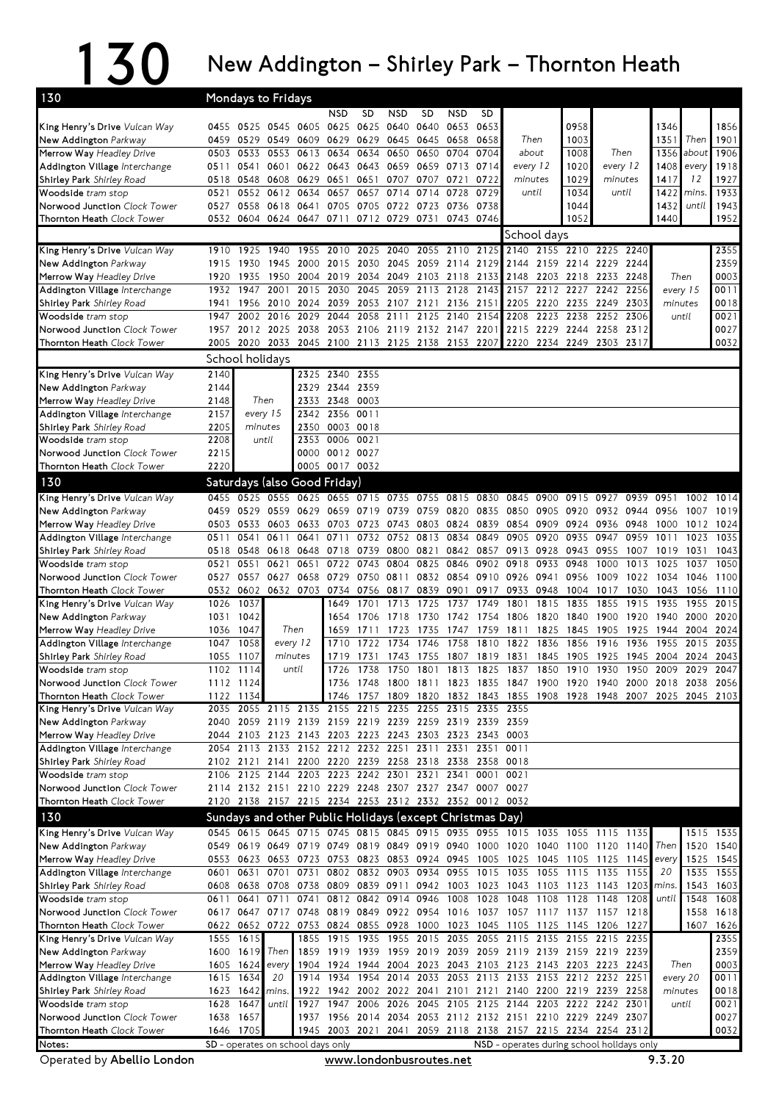## $130$  New Addington – Shirley Park – Thornton Heath

| 130                                                           |                                                                                                                      |                        | Mondays to Fridays  |                  |                                                                                              |                   |                               |                        |              |              |                                              |                     |                   |                                                                                                                       |              |               |              |                   |
|---------------------------------------------------------------|----------------------------------------------------------------------------------------------------------------------|------------------------|---------------------|------------------|----------------------------------------------------------------------------------------------|-------------------|-------------------------------|------------------------|--------------|--------------|----------------------------------------------|---------------------|-------------------|-----------------------------------------------------------------------------------------------------------------------|--------------|---------------|--------------|-------------------|
|                                                               |                                                                                                                      |                        |                     |                  | <b>NSD</b>                                                                                   | <b>SD</b>         | <b>NSD</b>                    | SD                     | <b>NSD</b>   | SD           |                                              |                     |                   |                                                                                                                       |              |               |              |                   |
| King Henry's Drive <i>Vulcan Way</i>                          |                                                                                                                      |                        | 0455 0525 0545 0605 |                  | 0625 0625                                                                                    |                   | 0640                          | 0640                   | 0653         | 0653         |                                              |                     | 0958              |                                                                                                                       |              | 1346          |              | 1856              |
| New Addington Parkway                                         | 0459                                                                                                                 | 0529                   |                     | 0549 0609        | 0629 0629 0645 0645 0658                                                                     |                   |                               |                        |              | 0658         | Then                                         |                     | 1003              |                                                                                                                       |              | 1351          | Then         | 1901              |
| Merrow Way Headley Drive                                      | 0503<br>0511                                                                                                         | 0533<br>0541           | 0553<br>0601        | 0613             | 0634<br>0622 0643 0643                                                                       | 0634              | 0650<br>0659                  | 0659 0713              | 0650 0704    | 0704<br>0714 | about                                        |                     | 1008<br>1020      | Then                                                                                                                  |              | 1356<br>1408  | about        | 1906<br>1918      |
| Addington Village Interchange<br>Shirley Park Shirley Road    | 0518                                                                                                                 | 0548 0608              |                     | 0629             | 0651                                                                                         | 0651              | 0707                          | 0707 0721              |              | 0722         |                                              | every 12<br>minutes |                   | every 12<br>minutes                                                                                                   |              | 1417          | every<br>12  | 1927              |
| <b>Woodside</b> tram stop                                     | 0521                                                                                                                 | 0552                   | 0612                | 0634             | 0657                                                                                         | 0657              | 0714                          | 0714                   | 0728         | 0729         | until                                        |                     | 1029<br>1034      | until                                                                                                                 |              | 1422          | mins.        | 1933              |
| Norwood Junction Clock Tower                                  |                                                                                                                      | 0527 0558              | 0618                | 0641             |                                                                                              |                   | 0705 0705 0722 0723 0736      |                        |              | 0738         |                                              |                     | 1044              |                                                                                                                       |              | 1432          | until        | 1943              |
| Thornton Heath Clock Tower                                    | 0532                                                                                                                 |                        | 0604 0624 0647      |                  | 0711                                                                                         |                   | 0712 0729                     | 0731                   | 0743 0746    |              |                                              |                     | 1052              |                                                                                                                       |              | 1440          |              | 1952              |
|                                                               |                                                                                                                      |                        |                     |                  |                                                                                              |                   |                               |                        |              |              | School days                                  |                     |                   |                                                                                                                       |              |               |              |                   |
| King Henry's Drive Vulcan Way                                 | 1910                                                                                                                 | 1925                   | 1940                | 1955             |                                                                                              | 2010 2025 2040    |                               |                        | 2055 2110    | 2125         |                                              |                     | 2140 2155 2210    | 2225 2240                                                                                                             |              |               |              | 2355              |
| New Addington Parkway                                         | 1915                                                                                                                 | 1930                   | 1945                | 2000             | 2015                                                                                         | 2030              | 2045                          | 2059 2114              |              | 2129         |                                              | 2144 2159           |                   | 2214 2229 2244                                                                                                        |              |               |              | 2359              |
| Merrow Way Headley Drive                                      | 1920                                                                                                                 | 1935                   | 1950                | 2004             | 2019                                                                                         | 2034              | 2049                          | 2103 2118              |              | 2133         | 2148                                         | 2203                |                   | 2218 2233 2248                                                                                                        |              |               | Then         | 0003              |
| Addington Village Interchange                                 | 1932                                                                                                                 | 1947                   | 2001                | 2015             | 2030                                                                                         | 2045              | 2059                          | 2113 2128              |              | 2143         | 2157                                         | 2212                | 2227              | 2242                                                                                                                  | 2256         |               | every 15     | 0011              |
| Shirley Park <i>Shirley Road</i><br><b>Woodside</b> tram stop | 1941<br>1947                                                                                                         | 1956<br>2002           | 2010<br>2016        | 2024<br>2029     | 2039<br>2044                                                                                 | 2053<br>2058      | 2107<br>2111                  | 2121 2136<br>2125 2140 |              | 2151<br>2154 | 2205 2220<br>2208                            | 2223                | 2235<br>2238      | 2249<br>2252                                                                                                          | 2303<br>2306 | minutes       | until        | 0018<br>0021      |
| Norwood Junction Clock Tower                                  |                                                                                                                      | 1957 2012 2025         |                     | 2038             |                                                                                              |                   | 2053 2106 2119 2132 2147 2201 |                        |              |              | 2215 2229                                    |                     | 2244 2258         |                                                                                                                       | 2312         |               |              | 0027              |
| <b>Thornton Heath</b> Clock Tower                             | 2005                                                                                                                 | 2020                   | 2033                |                  | 2045 2100 2113 2125 2138 2153                                                                |                   |                               |                        |              | 2207         | 2220                                         | 2234                | 2249              | 2303                                                                                                                  | 2317         |               |              | 0032              |
|                                                               |                                                                                                                      | School holidays        |                     |                  |                                                                                              |                   |                               |                        |              |              |                                              |                     |                   |                                                                                                                       |              |               |              |                   |
| King Henry's Drive Vulcan Way                                 | 2340<br>2355<br>2140<br>2325                                                                                         |                        |                     |                  |                                                                                              |                   |                               |                        |              |              |                                              |                     |                   |                                                                                                                       |              |               |              |                   |
| New Addington Parkway                                         | 2144                                                                                                                 |                        |                     |                  | 2329 2344 2359                                                                               |                   |                               |                        |              |              |                                              |                     |                   |                                                                                                                       |              |               |              |                   |
| Merrow Way Headley Drive                                      | 2148                                                                                                                 | Then                   |                     | 2333             | 2348 0003                                                                                    |                   |                               |                        |              |              |                                              |                     |                   |                                                                                                                       |              |               |              |                   |
| Addington Village Interchange                                 | 2157                                                                                                                 |                        | every 15            | 2342             | 2356                                                                                         | 0011              |                               |                        |              |              |                                              |                     |                   |                                                                                                                       |              |               |              |                   |
| Shirley Park Shirley Road                                     | 2205                                                                                                                 |                        | minutes             | 2350             |                                                                                              | 0003 0018         |                               |                        |              |              |                                              |                     |                   |                                                                                                                       |              |               |              |                   |
| Woodside tram stop                                            | 2208                                                                                                                 |                        | until               | 2353             | 0006 0021                                                                                    |                   |                               |                        |              |              |                                              |                     |                   |                                                                                                                       |              |               |              |                   |
| Norwood Junction Clock Tower                                  | 2215                                                                                                                 |                        |                     | 0000             | 0012 0027                                                                                    |                   |                               |                        |              |              |                                              |                     |                   |                                                                                                                       |              |               |              |                   |
| Thornton Heath Clock Tower                                    | 2220                                                                                                                 |                        |                     |                  | 0005 0017 0032                                                                               |                   |                               |                        |              |              |                                              |                     |                   |                                                                                                                       |              |               |              |                   |
| 130                                                           |                                                                                                                      |                        |                     |                  | Saturdays (also Good Friday)                                                                 |                   |                               |                        |              |              |                                              |                     |                   |                                                                                                                       |              |               |              |                   |
| King Henry's Drive Vulcan Way                                 | 0455                                                                                                                 | 0525                   | 0555                | 0625             |                                                                                              | 0655 0715 0735    |                               | 0755 0815              |              | 0830         | 0845                                         | 0900                | 0915              | 0927                                                                                                                  | 0939         | 0951          | 1002         | 1014              |
| New Addington Parkway<br><b>Merrow Way</b> Headley Drive      | 0459                                                                                                                 | 0529<br>0503 0533      | 0559<br>0603        | 0629<br>0633     | 0703                                                                                         | 0659 0719<br>0723 | 0739<br>0743                  | 0759 0820<br>0803 0824 |              | 0835<br>0839 | 0850 0905<br>0854                            | 0909                | 0920<br>0924      | 0932<br>0936                                                                                                          | 0944<br>0948 | 0956<br>1000  | 1007<br>1012 | 1019<br>1024      |
| Addington Village Interchange                                 | 0511                                                                                                                 | 0541                   | 0611                | 0641             | 0711                                                                                         | 0732              | 0752                          | 0813                   | 0834         | 0849         | 0905                                         | 0920                | 0935              | 0947                                                                                                                  | 0959         | 1011          | 1023         | 1035              |
| Shirley Park Shirley Road                                     | 0518                                                                                                                 | 0548                   | 0618                | 0648             |                                                                                              | 0718 0739         | 0800                          | 0821 0842              |              |              | 0857 0913 0928                               |                     | 0943              | 0955                                                                                                                  | 1007         | 1019          | 1031         | 1043              |
| <b>Woodside</b> tram stop                                     | 0521                                                                                                                 | 0551                   | 0621                | 0651             | 0722                                                                                         | 0743              | 0804                          |                        | 0825 0846    |              | 0902 0918                                    | 0933                | 0948              | 1000                                                                                                                  | 1013         | 1025          | 1037         | 1050              |
| Norwood Junction Clock Tower                                  |                                                                                                                      | 0527 0557              |                     |                  | 0627 0658 0729 0750                                                                          |                   | 0811                          |                        |              |              | 0832 0854 0910 0926 0941                     |                     | 0956              | 1009                                                                                                                  | 1022         | 1034          | 1046         | 1100              |
| Thornton Heath Clock Tower                                    |                                                                                                                      | 0532 0602              |                     |                  | 0632 0703 0734 0756 0817 0839 0901                                                           |                   |                               |                        |              |              | 0917 0933 0948                               |                     |                   | 1004 1017 1030                                                                                                        |              | 1043 1056     |              | 1110              |
| King Henry's Drive Vulcan Way                                 | 1026                                                                                                                 | 1037                   |                     |                  | 1649                                                                                         | 1701              | 1713                          | 1725                   | 1737         | 1749         | 1801                                         | 1815                | 1835              | 1855                                                                                                                  | 1915         | 1935          | 1955         | 2015              |
| New Addington Parkway                                         | 1031                                                                                                                 | 1042                   |                     |                  | 1654                                                                                         | 1706              | 1718                          | 1730                   | 1742         | 1754         | 1806                                         | 1820                | 1840              | 1900                                                                                                                  | 1920         | 1940          | 2000         | 2020              |
| Merrow Way Headley Drive<br>Addington Village Interchange     | 1036<br>1047                                                                                                         | 1047<br>1058           |                     | Then<br>every 12 | 1659<br>1710                                                                                 | 1711<br>1722      | 1723<br>1734                  | 1735<br>1746           | 1747<br>1758 | 1810         | 1759 1811<br>1822                            | 1825<br>1836        | 1845 1905<br>1856 | 1916                                                                                                                  | 1925<br>1936 | 1944<br>1955  | 2004<br>2015 | 2024<br>2035      |
| Shirley Park Shirley Road                                     |                                                                                                                      | 1055 1107              |                     | minutes          | 1719                                                                                         | 1731              | 1743                          | 1755 1807              |              |              | 1819 1831 1845                               |                     | 1905 1925         |                                                                                                                       | 1945         |               | 2004 2024    | 2043              |
| <b>Woodside</b> tram stop                                     |                                                                                                                      | 1102 1114              |                     | until            |                                                                                              | 1726 1738         | 1750                          | 1801                   |              |              | 1813 1825 1837 1850 1910 1930                |                     |                   |                                                                                                                       | 1950         | 2009          | 2029         | 2047              |
| <b>Norwood Junction</b> Clock Tower                           |                                                                                                                      | 1112 1124              |                     |                  |                                                                                              |                   |                               |                        |              |              |                                              |                     |                   | 1736 1748 1800 1811 1823 1835 1847 1900 1920 1940 2000 2018 2038 2056                                                 |              |               |              |                   |
| <b>Thornton Heath Clock Tower</b>                             |                                                                                                                      | 1122 1134              |                     |                  |                                                                                              |                   |                               |                        |              |              |                                              |                     |                   | 1746 1757 1809 1820 1832 1843 1855 1908 1928 1948 2007 2025 2045 2103                                                 |              |               |              |                   |
| King Henry's Drive Vulcan Way                                 |                                                                                                                      |                        |                     |                  | 2035 2055 2115 2135 2155 2215 2235 2255 2315                                                 |                   |                               |                        |              | 2335 2355    |                                              |                     |                   |                                                                                                                       |              |               |              |                   |
| New Addington Parkway                                         |                                                                                                                      |                        |                     |                  | 2040 2059 2119 2139 2159 2219 2239 2259 2319 2339 2359                                       |                   |                               |                        |              |              |                                              |                     |                   |                                                                                                                       |              |               |              |                   |
| Merrow Way Headley Drive<br>Addington Village Interchange     |                                                                                                                      |                        |                     |                  | 2044 2103 2123 2143 2203 2223 2243 2303 2323 2343 0003<br>2054 2113 2133 2152 2212 2232 2251 |                   |                               | 2311 2331              |              | 2351         | 0011                                         |                     |                   |                                                                                                                       |              |               |              |                   |
| Shirley Park Shirley Road                                     |                                                                                                                      |                        |                     |                  | 2102 2121 2141 2200 2220 2239 2258 2318 2338 2358 0018                                       |                   |                               |                        |              |              |                                              |                     |                   |                                                                                                                       |              |               |              |                   |
| Woodside tram stop                                            |                                                                                                                      |                        |                     |                  | 2106 2125 2144 2203 2223 2242 2301 2321 2341                                                 |                   |                               |                        |              | 0001         | 0021                                         |                     |                   |                                                                                                                       |              |               |              |                   |
| Norwood Junction Clock Tower                                  |                                                                                                                      |                        |                     |                  | 2114 2132 2151 2210 2229 2248 2307 2327 2347 0007 0027                                       |                   |                               |                        |              |              |                                              |                     |                   |                                                                                                                       |              |               |              |                   |
| Thornton Heath Clock Tower                                    |                                                                                                                      |                        |                     |                  | 2120 2138 2157 2215 2234 2253 2312 2332 2352 0012 0032                                       |                   |                               |                        |              |              |                                              |                     |                   |                                                                                                                       |              |               |              |                   |
| 130                                                           |                                                                                                                      |                        |                     |                  | Sundays and other Public Holidays (except Christmas Day)                                     |                   |                               |                        |              |              |                                              |                     |                   |                                                                                                                       |              |               |              |                   |
| King Henry's Drive Vulcan Way                                 |                                                                                                                      |                        |                     |                  |                                                                                              |                   |                               |                        |              |              |                                              |                     |                   | 0545 0615 0645 0715 0745 0815 0845 0915 0935 0955 1015 1035 1055 1115 1135                                            |              |               |              | 1515 1535         |
| New Addington Parkway                                         |                                                                                                                      |                        |                     |                  | 0549 0619 0649 0719 0749 0819 0849 0919 0940                                                 |                   |                               |                        |              |              |                                              |                     |                   | 1000 1020 1040 1100 1120 1140 Then                                                                                    |              |               |              | 1520 1540         |
| Merrow Way Headley Drive                                      |                                                                                                                      |                        |                     |                  |                                                                                              |                   |                               |                        |              |              |                                              |                     |                   | 0553 0623 0653 0723 0753 0823 0853 0924 0945 1005 1025 1045 1105 1125 1145                                            |              | every         |              | 1525 1545         |
| Addington Village Interchange                                 | 0601                                                                                                                 | 0631                   | 0701                | 0731             |                                                                                              |                   | 0802 0832 0903 0934 0955      |                        |              |              |                                              |                     |                   | 1015 1035 1055 1115 1135                                                                                              | 1155         | 20            | 1535         | 1555              |
| Shirley Park Shirley Road<br>Woodside tram stop               | 0611                                                                                                                 | 0608 0638 0708<br>0641 | 0711                | 0741             |                                                                                              |                   | 0812 0842 0914 0946           |                        | 1008         | 1028         | 1048                                         | 1108                | 1128              | 0738 0809 0839 0911 0942 1003 1023 1043 1103 1123 1143 1203<br>1148                                                   | 1208         | mins<br>until | 1548         | 1543 1603<br>1608 |
| Norwood Junction Clock Tower                                  |                                                                                                                      |                        |                     |                  |                                                                                              |                   |                               |                        |              |              |                                              |                     |                   | 0617 0647 0717 0748 0819 0849 0922 0954 1016 1037 1057 1117 1137 1157 1218                                            |              |               |              | 1558 1618         |
| <b>Thornton Heath</b> Clock Tower                             |                                                                                                                      |                        |                     |                  |                                                                                              |                   |                               |                        |              |              |                                              |                     |                   | 0622 0652 0722 0753 0824 0855 0928 1000 1023 1045 1105 1125 1145 1206 1227                                            |              |               |              | 1607 1626         |
| King Henry's Drive Vulcan Way                                 |                                                                                                                      | 1555 1615              |                     |                  |                                                                                              |                   |                               |                        |              |              | 1855 1915 1935 1955 2015 2035 2055 2115 2135 |                     |                   | 2155 2215 2235                                                                                                        |              |               |              | 2355              |
| New Addington Parkway                                         |                                                                                                                      | 1600 1619              | Then                |                  |                                                                                              |                   |                               |                        |              |              |                                              |                     |                   | 1859 1919 1939 1959 2019 2039 2059 2119 2139 2159 2219 2239                                                           |              |               |              | 2359              |
| Merrow Way Headley Drive                                      |                                                                                                                      | 1605 1624 every        |                     |                  |                                                                                              |                   |                               |                        |              |              |                                              |                     |                   | 1904 1924 1944 2004 2023 2043 2103 2123 2143 2203 2223 2243                                                           |              |               | Then         | 0003              |
| Addington Village Interchange                                 |                                                                                                                      | 1615 1634              | 20                  | 1914             | 1934                                                                                         |                   | 1954 2014                     |                        |              |              |                                              |                     |                   | 2033 2053 2113 2133 2153 2212 2232 2251                                                                               |              |               | every 20     | 0011              |
| Shirley Park Shirley Road                                     |                                                                                                                      | 1623 1642              | mins.               | 1922             |                                                                                              |                   |                               |                        |              |              |                                              |                     |                   | 1942 2002 2022 2041 2101 2121 2140 2200 2219 2239 2258                                                                |              | minutes       |              | 0018              |
| <b>Woodside</b> tram stop<br>Norwood Junction Clock Tower     |                                                                                                                      | 1628 1647<br>1638 1657 | until               | 1927             |                                                                                              |                   |                               |                        |              |              |                                              |                     |                   | 1947 2006 2026 2045 2105 2125 2144 2203 2222 2242 2301<br>1937 1956 2014 2034 2053 2112 2132 2151 2210 2229 2249 2307 |              |               | until        | 0021<br>0027      |
| <b>Thornton Heath Clock Tower</b>                             |                                                                                                                      | 1646 1705              |                     |                  |                                                                                              |                   |                               |                        |              |              |                                              |                     |                   | 1945 2003 2021 2041 2059 2118 2138 2157 2215 2234 2254 2312                                                           |              |               |              | 0032              |
| Notes:                                                        |                                                                                                                      |                        |                     |                  |                                                                                              |                   |                               |                        |              |              |                                              |                     |                   |                                                                                                                       |              |               |              |                   |
| Operated by Abellio London                                    | SD - operates on school days only<br>NSD - operates during school holidays only<br>9.3.20<br>www.londonbusroutes.net |                        |                     |                  |                                                                                              |                   |                               |                        |              |              |                                              |                     |                   |                                                                                                                       |              |               |              |                   |